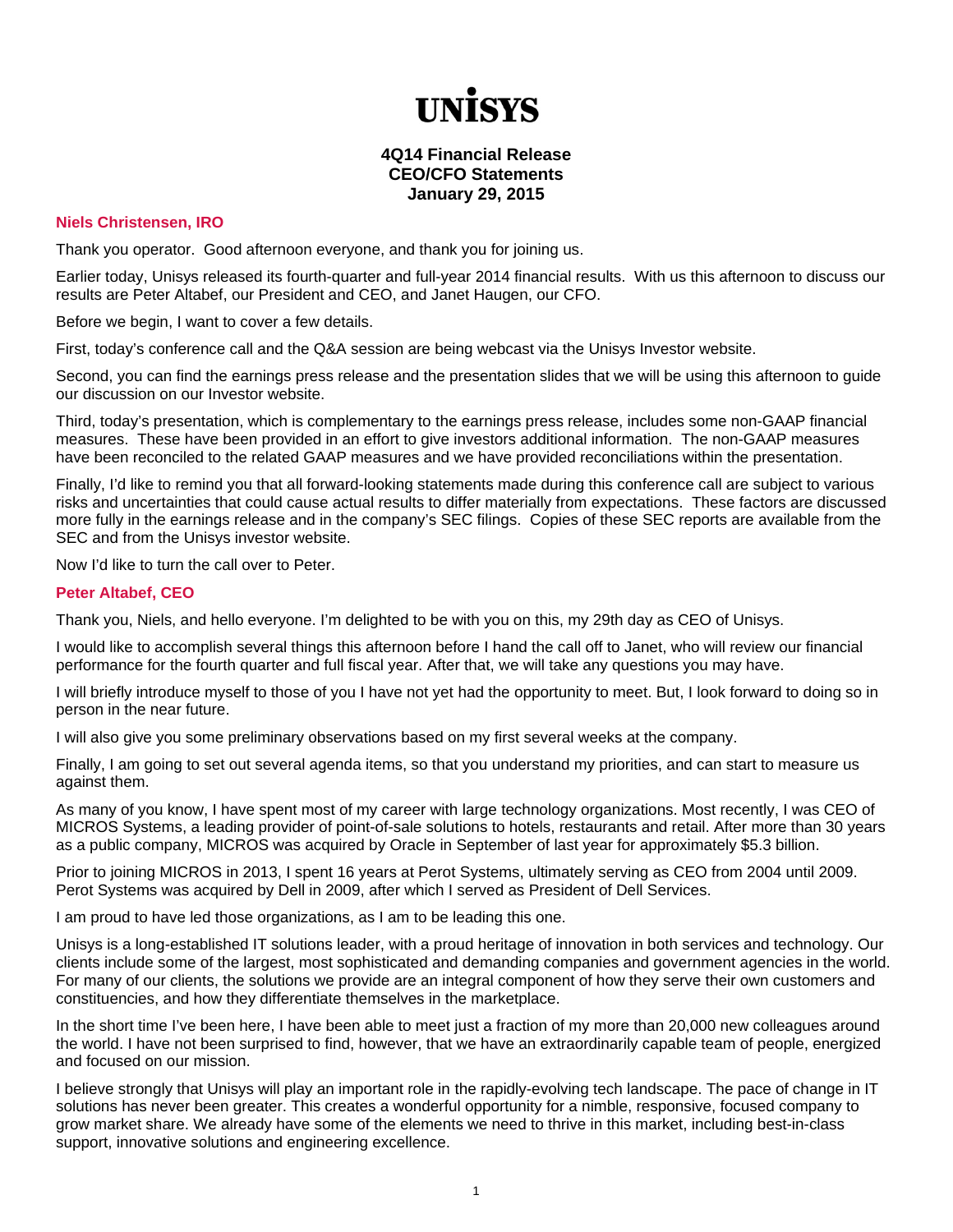# **TINİSVS**

## **4Q14 Financial Release CEO/CFO Statements January 29, 2015**

### **Niels Christensen, IRO**

Thank you operator. Good afternoon everyone, and thank you for joining us.

Earlier today, Unisys released its fourth-quarter and full-year 2014 financial results. With us this afternoon to discuss our results are Peter Altabef, our President and CEO, and Janet Haugen, our CFO.

Before we begin, I want to cover a few details.

First, today's conference call and the Q&A session are being webcast via the Unisys Investor website.

Second, you can find the earnings press release and the presentation slides that we will be using this afternoon to guide our discussion on our Investor website.

Third, today's presentation, which is complementary to the earnings press release, includes some non-GAAP financial measures. These have been provided in an effort to give investors additional information. The non-GAAP measures have been reconciled to the related GAAP measures and we have provided reconciliations within the presentation.

Finally, I'd like to remind you that all forward-looking statements made during this conference call are subject to various risks and uncertainties that could cause actual results to differ materially from expectations. These factors are discussed more fully in the earnings release and in the company's SEC filings. Copies of these SEC reports are available from the SEC and from the Unisys investor website.

Now I'd like to turn the call over to Peter.

#### **Peter Altabef, CEO**

Thank you, Niels, and hello everyone. I'm delighted to be with you on this, my 29th day as CEO of Unisys.

I would like to accomplish several things this afternoon before I hand the call off to Janet, who will review our financial performance for the fourth quarter and full fiscal year. After that, we will take any questions you may have.

I will briefly introduce myself to those of you I have not yet had the opportunity to meet. But, I look forward to doing so in person in the near future.

I will also give you some preliminary observations based on my first several weeks at the company.

Finally, I am going to set out several agenda items, so that you understand my priorities, and can start to measure us against them.

As many of you know, I have spent most of my career with large technology organizations. Most recently, I was CEO of MICROS Systems, a leading provider of point-of-sale solutions to hotels, restaurants and retail. After more than 30 years as a public company, MICROS was acquired by Oracle in September of last year for approximately \$5.3 billion.

Prior to joining MICROS in 2013, I spent 16 years at Perot Systems, ultimately serving as CEO from 2004 until 2009. Perot Systems was acquired by Dell in 2009, after which I served as President of Dell Services.

I am proud to have led those organizations, as I am to be leading this one.

Unisys is a long-established IT solutions leader, with a proud heritage of innovation in both services and technology. Our clients include some of the largest, most sophisticated and demanding companies and government agencies in the world. For many of our clients, the solutions we provide are an integral component of how they serve their own customers and constituencies, and how they differentiate themselves in the marketplace.

In the short time I've been here, I have been able to meet just a fraction of my more than 20,000 new colleagues around the world. I have not been surprised to find, however, that we have an extraordinarily capable team of people, energized and focused on our mission.

I believe strongly that Unisys will play an important role in the rapidly-evolving tech landscape. The pace of change in IT solutions has never been greater. This creates a wonderful opportunity for a nimble, responsive, focused company to grow market share. We already have some of the elements we need to thrive in this market, including best-in-class support, innovative solutions and engineering excellence.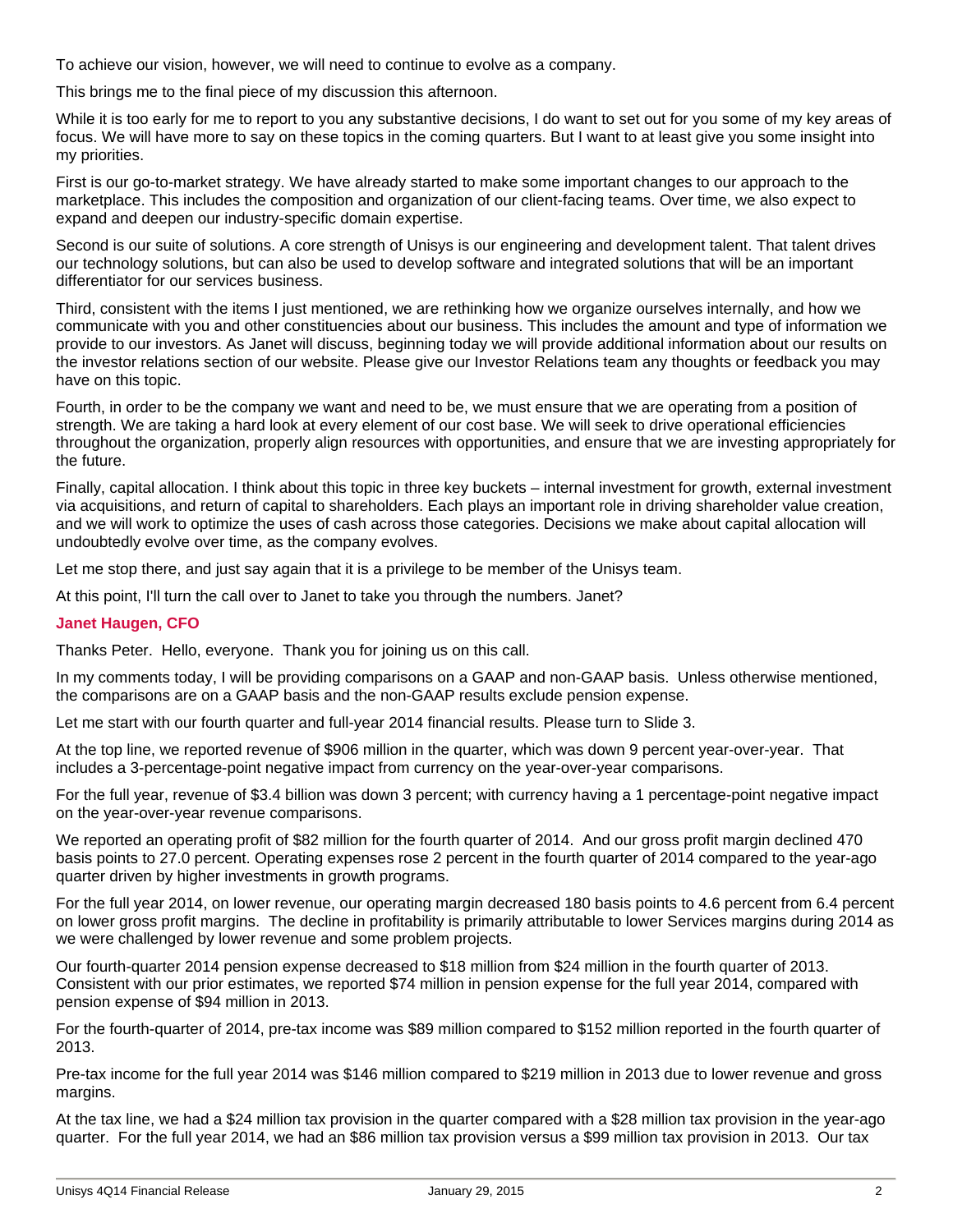To achieve our vision, however, we will need to continue to evolve as a company.

This brings me to the final piece of my discussion this afternoon.

While it is too early for me to report to you any substantive decisions, I do want to set out for you some of my key areas of focus. We will have more to say on these topics in the coming quarters. But I want to at least give you some insight into my priorities.

First is our go-to-market strategy. We have already started to make some important changes to our approach to the marketplace. This includes the composition and organization of our client-facing teams. Over time, we also expect to expand and deepen our industry-specific domain expertise.

Second is our suite of solutions. A core strength of Unisys is our engineering and development talent. That talent drives our technology solutions, but can also be used to develop software and integrated solutions that will be an important differentiator for our services business.

Third, consistent with the items I just mentioned, we are rethinking how we organize ourselves internally, and how we communicate with you and other constituencies about our business. This includes the amount and type of information we provide to our investors. As Janet will discuss, beginning today we will provide additional information about our results on the investor relations section of our website. Please give our Investor Relations team any thoughts or feedback you may have on this topic.

Fourth, in order to be the company we want and need to be, we must ensure that we are operating from a position of strength. We are taking a hard look at every element of our cost base. We will seek to drive operational efficiencies throughout the organization, properly align resources with opportunities, and ensure that we are investing appropriately for the future.

Finally, capital allocation. I think about this topic in three key buckets – internal investment for growth, external investment via acquisitions, and return of capital to shareholders. Each plays an important role in driving shareholder value creation, and we will work to optimize the uses of cash across those categories. Decisions we make about capital allocation will undoubtedly evolve over time, as the company evolves.

Let me stop there, and just say again that it is a privilege to be member of the Unisys team.

At this point, I'll turn the call over to Janet to take you through the numbers. Janet?

#### **Janet Haugen, CFO**

Thanks Peter. Hello, everyone. Thank you for joining us on this call.

In my comments today, I will be providing comparisons on a GAAP and non-GAAP basis. Unless otherwise mentioned, the comparisons are on a GAAP basis and the non-GAAP results exclude pension expense.

Let me start with our fourth quarter and full-year 2014 financial results. Please turn to Slide 3.

At the top line, we reported revenue of \$906 million in the quarter, which was down 9 percent year-over-year. That includes a 3-percentage-point negative impact from currency on the year-over-year comparisons.

For the full year, revenue of \$3.4 billion was down 3 percent; with currency having a 1 percentage-point negative impact on the year-over-year revenue comparisons.

We reported an operating profit of \$82 million for the fourth quarter of 2014. And our gross profit margin declined 470 basis points to 27.0 percent. Operating expenses rose 2 percent in the fourth quarter of 2014 compared to the year-ago quarter driven by higher investments in growth programs.

For the full year 2014, on lower revenue, our operating margin decreased 180 basis points to 4.6 percent from 6.4 percent on lower gross profit margins. The decline in profitability is primarily attributable to lower Services margins during 2014 as we were challenged by lower revenue and some problem projects.

Our fourth-quarter 2014 pension expense decreased to \$18 million from \$24 million in the fourth quarter of 2013. Consistent with our prior estimates, we reported \$74 million in pension expense for the full year 2014, compared with pension expense of \$94 million in 2013.

For the fourth-quarter of 2014, pre-tax income was \$89 million compared to \$152 million reported in the fourth quarter of 2013.

Pre-tax income for the full year 2014 was \$146 million compared to \$219 million in 2013 due to lower revenue and gross margins.

At the tax line, we had a \$24 million tax provision in the quarter compared with a \$28 million tax provision in the year-ago quarter. For the full year 2014, we had an \$86 million tax provision versus a \$99 million tax provision in 2013. Our tax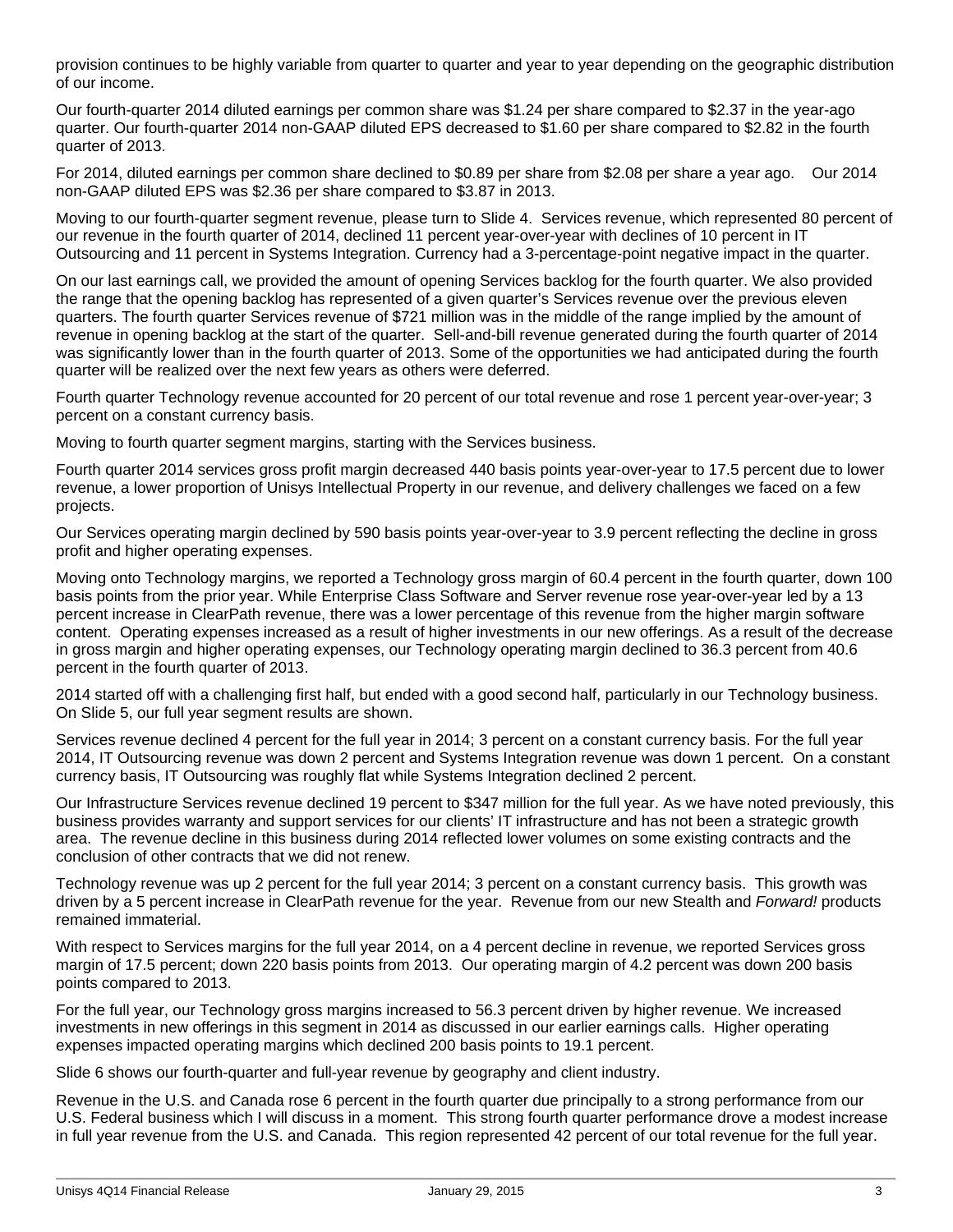provision continues to be highly variable from quarter to quarter and year to year depending on the geographic distribution of our income.

Our fourth-quarter 2014 diluted earnings per common share was \$1.24 per share compared to \$2.37 in the year-ago quarter. Our fourth-quarter 2014 non-GAAP diluted EPS decreased to \$1.60 per share compared to \$2.82 in the fourth quarter of 2013.

For 2014, diluted earnings per common share declined to \$0.89 per share from \$2.08 per share a year ago. Our 2014 non-GAAP diluted EPS was \$2.36 per share compared to \$3.87 in 2013.

Moving to our fourth-quarter segment revenue, please turn to Slide 4. Services revenue, which represented 80 percent of our revenue in the fourth quarter of 2014, declined 11 percent year-over-year with declines of 10 percent in IT Outsourcing and 11 percent in Systems Integration. Currency had a 3-percentage-point negative impact in the quarter.

On our last earnings call, we provided the amount of opening Services backlog for the fourth quarter. We also provided the range that the opening backlog has represented of a given quarter's Services revenue over the previous eleven quarters. The fourth quarter Services revenue of \$721 million was in the middle of the range implied by the amount of revenue in opening backlog at the start of the quarter. Sell-and-bill revenue generated during the fourth quarter of 2014 was significantly lower than in the fourth quarter of 2013. Some of the opportunities we had anticipated during the fourth quarter will be realized over the next few years as others were deferred.

Fourth quarter Technology revenue accounted for 20 percent of our total revenue and rose 1 percent year-over-year; 3 percent on a constant currency basis.

Moving to fourth quarter segment margins, starting with the Services business.

Fourth quarter 2014 services gross profit margin decreased 440 basis points year-over-year to 17.5 percent due to lower revenue, a lower proportion of Unisys Intellectual Property in our revenue, and delivery challenges we faced on a few projects.

Our Services operating margin declined by 590 basis points year-over-year to 3.9 percent reflecting the decline in gross profit and higher operating expenses.

Moving onto Technology margins, we reported a Technology gross margin of 60.4 percent in the fourth quarter, down 100 basis points from the prior year. While Enterprise Class Software and Server revenue rose year-over-year led by a 13 percent increase in ClearPath revenue, there was a lower percentage of this revenue from the higher margin software content. Operating expenses increased as a result of higher investments in our new offerings. As a result of the decrease in gross margin and higher operating expenses, our Technology operating margin declined to 36.3 percent from 40.6 percent in the fourth quarter of 2013.

2014 started off with a challenging first half, but ended with a good second half, particularly in our Technology business. On Slide 5, our full year segment results are shown.

Services revenue declined 4 percent for the full year in 2014; 3 percent on a constant currency basis. For the full year 2014, IT Outsourcing revenue was down 2 percent and Systems Integration revenue was down 1 percent. On a constant currency basis, IT Outsourcing was roughly flat while Systems Integration declined 2 percent.

Our Infrastructure Services revenue declined 19 percent to \$347 million for the full year. As we have noted previously, this business provides warranty and support services for our clients' IT infrastructure and has not been a strategic growth area. The revenue decline in this business during 2014 reflected lower volumes on some existing contracts and the conclusion of other contracts that we did not renew.

Technology revenue was up 2 percent for the full year 2014; 3 percent on a constant currency basis. This growth was driven by a 5 percent increase in ClearPath revenue for the year. Revenue from our new Stealth and *Forward!* products remained immaterial.

With respect to Services margins for the full year 2014, on a 4 percent decline in revenue, we reported Services gross margin of 17.5 percent; down 220 basis points from 2013. Our operating margin of 4.2 percent was down 200 basis points compared to 2013.

For the full year, our Technology gross margins increased to 56.3 percent driven by higher revenue. We increased investments in new offerings in this segment in 2014 as discussed in our earlier earnings calls. Higher operating expenses impacted operating margins which declined 200 basis points to 19.1 percent.

Slide 6 shows our fourth-quarter and full-year revenue by geography and client industry.

Revenue in the U.S. and Canada rose 6 percent in the fourth quarter due principally to a strong performance from our U.S. Federal business which I will discuss in a moment. This strong fourth quarter performance drove a modest increase in full year revenue from the U.S. and Canada. This region represented 42 percent of our total revenue for the full year.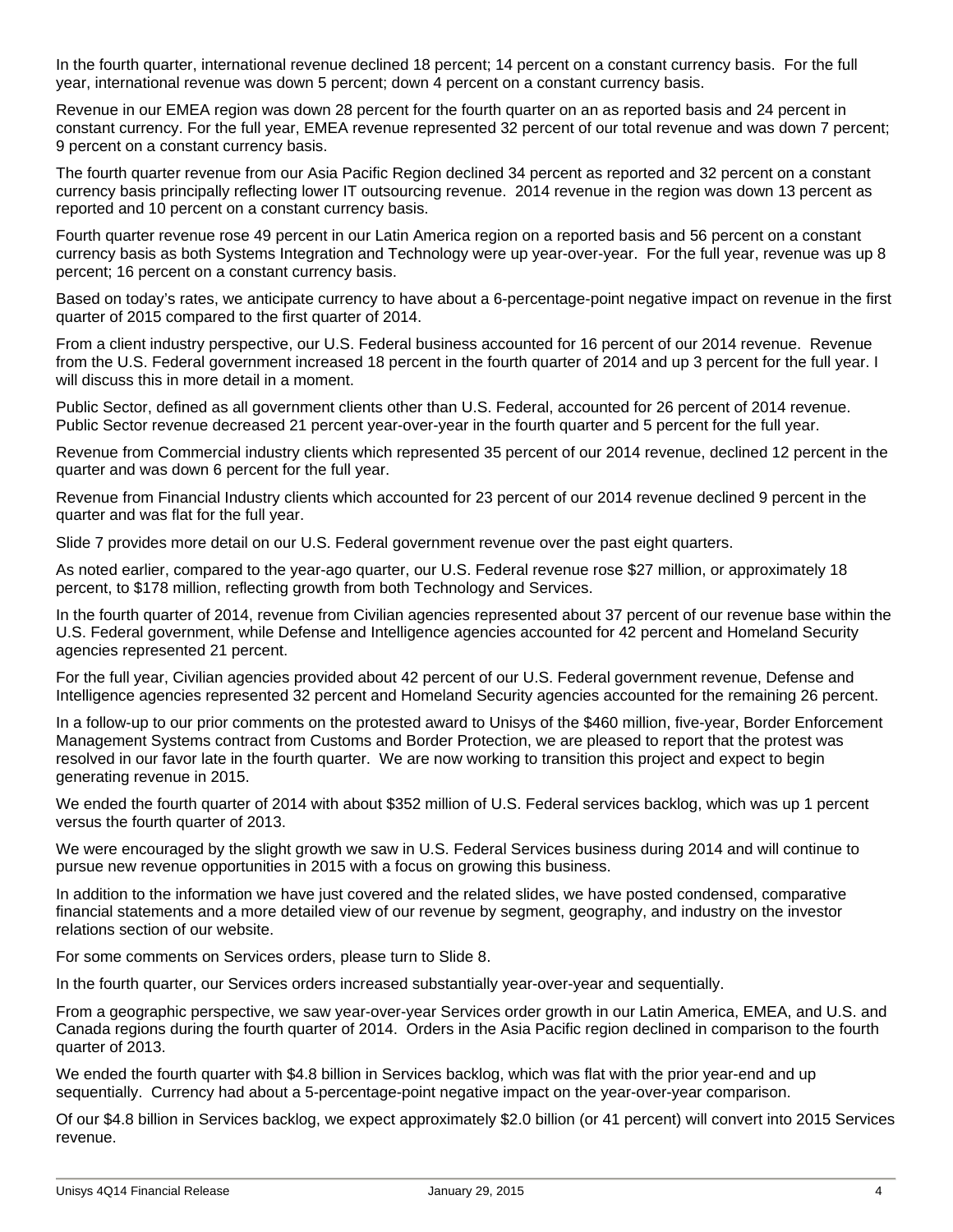In the fourth quarter, international revenue declined 18 percent; 14 percent on a constant currency basis. For the full year, international revenue was down 5 percent; down 4 percent on a constant currency basis.

Revenue in our EMEA region was down 28 percent for the fourth quarter on an as reported basis and 24 percent in constant currency. For the full year, EMEA revenue represented 32 percent of our total revenue and was down 7 percent; 9 percent on a constant currency basis.

The fourth quarter revenue from our Asia Pacific Region declined 34 percent as reported and 32 percent on a constant currency basis principally reflecting lower IT outsourcing revenue. 2014 revenue in the region was down 13 percent as reported and 10 percent on a constant currency basis.

Fourth quarter revenue rose 49 percent in our Latin America region on a reported basis and 56 percent on a constant currency basis as both Systems Integration and Technology were up year-over-year. For the full year, revenue was up 8 percent; 16 percent on a constant currency basis.

Based on today's rates, we anticipate currency to have about a 6-percentage-point negative impact on revenue in the first quarter of 2015 compared to the first quarter of 2014.

From a client industry perspective, our U.S. Federal business accounted for 16 percent of our 2014 revenue. Revenue from the U.S. Federal government increased 18 percent in the fourth quarter of 2014 and up 3 percent for the full year. I will discuss this in more detail in a moment.

Public Sector, defined as all government clients other than U.S. Federal, accounted for 26 percent of 2014 revenue. Public Sector revenue decreased 21 percent year-over-year in the fourth quarter and 5 percent for the full year.

Revenue from Commercial industry clients which represented 35 percent of our 2014 revenue, declined 12 percent in the quarter and was down 6 percent for the full year.

Revenue from Financial Industry clients which accounted for 23 percent of our 2014 revenue declined 9 percent in the quarter and was flat for the full year.

Slide 7 provides more detail on our U.S. Federal government revenue over the past eight quarters.

As noted earlier, compared to the year-ago quarter, our U.S. Federal revenue rose \$27 million, or approximately 18 percent, to \$178 million, reflecting growth from both Technology and Services.

In the fourth quarter of 2014, revenue from Civilian agencies represented about 37 percent of our revenue base within the U.S. Federal government, while Defense and Intelligence agencies accounted for 42 percent and Homeland Security agencies represented 21 percent.

For the full year, Civilian agencies provided about 42 percent of our U.S. Federal government revenue, Defense and Intelligence agencies represented 32 percent and Homeland Security agencies accounted for the remaining 26 percent.

In a follow-up to our prior comments on the protested award to Unisys of the \$460 million, five-year, Border Enforcement Management Systems contract from Customs and Border Protection, we are pleased to report that the protest was resolved in our favor late in the fourth quarter. We are now working to transition this project and expect to begin generating revenue in 2015.

We ended the fourth quarter of 2014 with about \$352 million of U.S. Federal services backlog, which was up 1 percent versus the fourth quarter of 2013.

We were encouraged by the slight growth we saw in U.S. Federal Services business during 2014 and will continue to pursue new revenue opportunities in 2015 with a focus on growing this business.

In addition to the information we have just covered and the related slides, we have posted condensed, comparative financial statements and a more detailed view of our revenue by segment, geography, and industry on the investor relations section of our website.

For some comments on Services orders, please turn to Slide 8.

In the fourth quarter, our Services orders increased substantially year-over-year and sequentially.

From a geographic perspective, we saw year-over-year Services order growth in our Latin America, EMEA, and U.S. and Canada regions during the fourth quarter of 2014. Orders in the Asia Pacific region declined in comparison to the fourth quarter of 2013.

We ended the fourth quarter with \$4.8 billion in Services backlog, which was flat with the prior year-end and up sequentially. Currency had about a 5-percentage-point negative impact on the year-over-year comparison.

Of our \$4.8 billion in Services backlog, we expect approximately \$2.0 billion (or 41 percent) will convert into 2015 Services revenue.